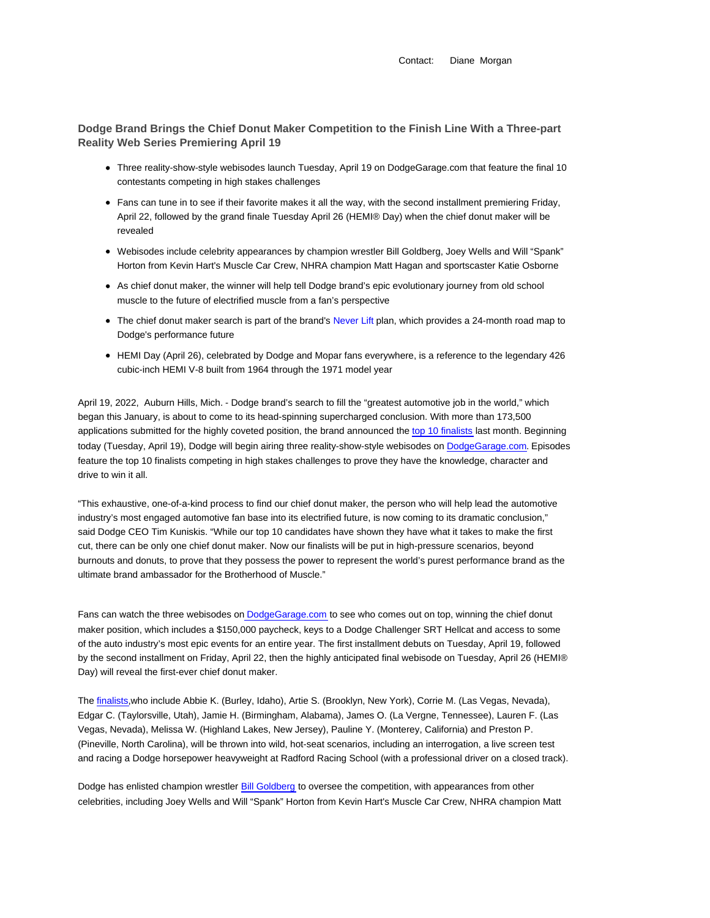Contact: Diane Morgan

**Dodge Brand Brings the Chief Donut Maker Competition to the Finish Line With a Three-part Reality Web Series Premiering April 19**

- Three reality-show-style webisodes launch Tuesday, April 19 on DodgeGarage.com that feature the final 10 contestants competing in high stakes challenges
- Fans can tune in to see if their favorite makes it all the way, with the second installment premiering Friday, April 22, followed by the grand finale Tuesday April 26 (HEMI® Day) when the chief donut maker will be revealed
- Webisodes include celebrity appearances by champion wrestler Bill Goldberg, Joey Wells and Will "Spank" Horton from Kevin Hart's Muscle Car Crew, NHRA champion Matt Hagan and sportscaster Katie Osborne
- As chief donut maker, the winner will help tell Dodge brand's epic evolutionary journey from old school muscle to the future of electrified muscle from a fan's perspective
- The chief donut maker search is part of the brand's Never Lift plan, which provides a 24-month road map to Dodge's performance future
- HEMI Day (April 26), celebrated by Dodge and Mopar fans everywhere, is a reference to the legendary 426 cubic-inch HEMI V-8 built from 1964 through the 1971 model year

April 19, 2022, Auburn Hills, Mich. - Dodge brand's search to fill the "greatest automotive job in the world," which began this January, is about to come to its head-spinning supercharged conclusion. With more than 173,500 applications submitted for the highly coveted position, the brand announced the top 10 finalists last month. Beginning today (Tuesday, April 19), Dodge will begin airing three reality-show-style webisodes on DodgeGarage.com. Episodes feature the top 10 finalists competing in high stakes challenges to prove they have the knowledge, character and drive to win it all.

"This exhaustive, one-of-a-kind process to find our chief donut maker, the person who will help lead the automotive industry's most engaged automotive fan base into its electrified future, is now coming to its dramatic conclusion," said Dodge CEO Tim Kuniskis. "While our top 10 candidates have shown they have what it takes to make the first cut, there can be only one chief donut maker. Now our finalists will be put in high-pressure scenarios, beyond burnouts and donuts, to prove that they possess the power to represent the world's purest performance brand as the ultimate brand ambassador for the Brotherhood of Muscle."

Fans can watch the three webisodes on DodgeGarage.com to see who comes out on top, winning the chief donut maker position, which includes a \$150,000 paycheck, keys to a Dodge Challenger SRT Hellcat and access to some of the auto industry's most epic events for an entire year. The first installment debuts on Tuesday, April 19, followed by the second installment on Friday, April 22, then the highly anticipated final webisode on Tuesday, April 26 (HEMI® Day) will reveal the first-ever chief donut maker.

The finalists,who include Abbie K. (Burley, Idaho), Artie S. (Brooklyn, New York), Corrie M. (Las Vegas, Nevada), Edgar C. (Taylorsville, Utah), Jamie H. (Birmingham, Alabama), James O. (La Vergne, Tennessee), Lauren F. (Las Vegas, Nevada), Melissa W. (Highland Lakes, New Jersey), Pauline Y. (Monterey, California) and Preston P. (Pineville, North Carolina), will be thrown into wild, hot-seat scenarios, including an interrogation, a live screen test and racing a Dodge horsepower heavyweight at Radford Racing School (with a professional driver on a closed track).

Dodge has enlisted champion wrestler Bill Goldberg to oversee the competition, with appearances from other celebrities, including Joey Wells and Will "Spank" Horton from Kevin Hart's Muscle Car Crew, NHRA champion Matt